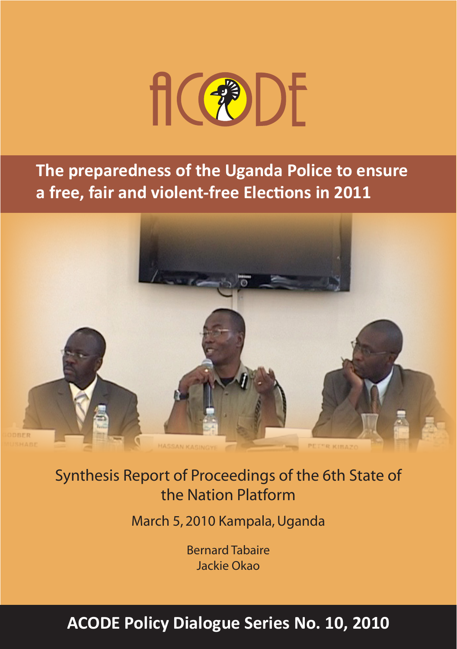

**The preparedness of the Uganda Police to ensure a free, fair and violent-free Elections in 2011**



Synthesis Report of Proceedings of the 6th State of the Nation Platform

March 5, 2010 Kampala, Uganda

Bernard Tabaire Jackie Okao

# ACODE Policy Dialogue Series No. 10, 2010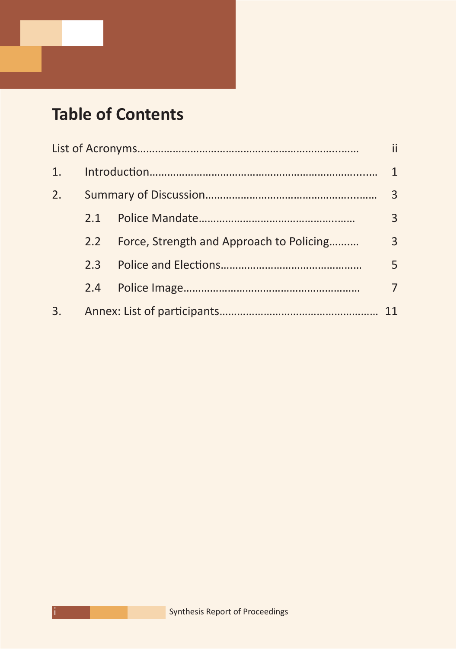## **Table of Contents**

|    |               |                                          | $\mathbf{1}$   |
|----|---------------|------------------------------------------|----------------|
| 2. |               |                                          | 3              |
|    | 2.1           |                                          | 3              |
|    | $2.2^{\circ}$ | Force, Strength and Approach to Policing | $\overline{3}$ |
|    | $2.3 -$       |                                          | 5              |
|    | 2.4           |                                          | 7              |
| 3. |               |                                          | 11             |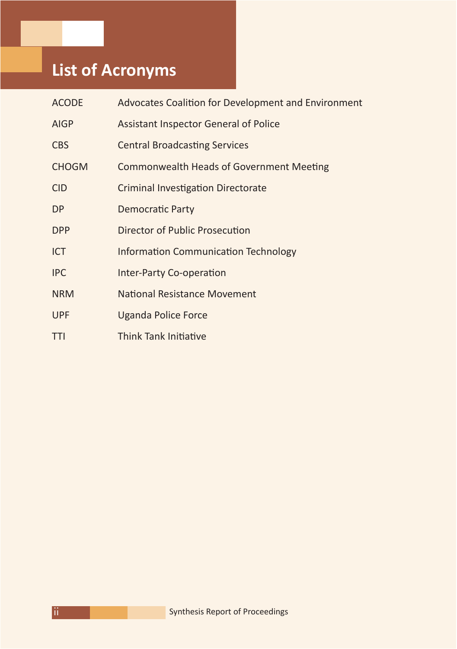## **List of Acronyms**

| <b>ACODE</b> | Advocates Coalition for Development and Environment |
|--------------|-----------------------------------------------------|
| <b>AIGP</b>  | <b>Assistant Inspector General of Police</b>        |
| <b>CBS</b>   | <b>Central Broadcasting Services</b>                |
| <b>CHOGM</b> | <b>Commonwealth Heads of Government Meeting</b>     |
| <b>CID</b>   | <b>Criminal Investigation Directorate</b>           |
| DP           | <b>Democratic Party</b>                             |
| <b>DPP</b>   | Director of Public Prosecution                      |
| <b>ICT</b>   | <b>Information Communication Technology</b>         |
| <b>IPC</b>   | <b>Inter-Party Co-operation</b>                     |
| <b>NRM</b>   | National Resistance Movement                        |
| <b>UPF</b>   | <b>Uganda Police Force</b>                          |
| TTI          | Think Tank Initiative                               |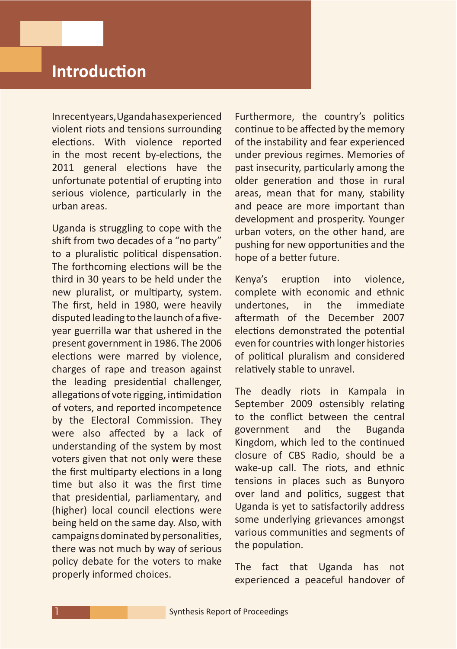## **Introduction**

In recent years, Uganda has experienced violent riots and tensions surrounding elections. With violence reported in the most recent by-elections, the 2011 general elections have the unfortunate potential of erupting into serious violence, particularly in the urban areas.

Uganda is struggling to cope with the shift from two decades of a "no party" to a pluralistic political dispensation. The forthcoming elections will be the third in 30 years to be held under the new pluralist, or multiparty, system. The first, held in 1980, were heavily disputed leading to the launch of a fiveyear guerrilla war that ushered in the present government in 1986. The 2006 elections were marred by violence, charges of rape and treason against the leading presidential challenger, allegations of vote rigging, intimidation of voters, and reported incompetence by the Electoral Commission. They were also affected by a lack of understanding of the system by most voters given that not only were these the first multiparty elections in a long time but also it was the first time that presidential, parliamentary, and (higher) local council elections were being held on the same day. Also, with campaigns dominated by personalities, there was not much by way of serious policy debate for the voters to make properly informed choices.

Furthermore, the country's politics continue to be affected by the memory of the instability and fear experienced under previous regimes. Memories of past insecurity, particularly among the older generation and those in rural areas, mean that for many, stability and peace are more important than development and prosperity. Younger urban voters, on the other hand, are pushing for new opportunities and the hope of a better future.

Kenya's eruption into violence, complete with economic and ethnic undertones, in the immediate aftermath of the December 2007 elections demonstrated the potential even for countries with longer histories of political pluralism and considered relatively stable to unravel.

The deadly riots in Kampala in September 2009 ostensibly relating to the conflict between the central government and the Buganda Kingdom, which led to the continued closure of CBS Radio, should be a wake-up call. The riots, and ethnic tensions in places such as Bunyoro over land and politics, suggest that Uganda is yet to satisfactorily address some underlying grievances amongst various communities and segments of the population.

The fact that Uganda has not experienced a peaceful handover of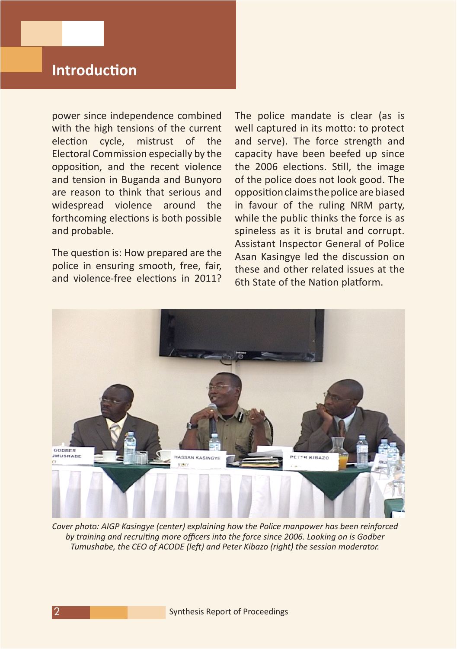### **Introduction**

power since independence combined with the high tensions of the current election cycle, mistrust of the Electoral Commission especially by the opposition, and the recent violence and tension in Buganda and Bunyoro are reason to think that serious and widespread violence around the forthcoming elections is both possible and probable.

The question is: How prepared are the police in ensuring smooth, free, fair, and violence-free elections in 2011? The police mandate is clear (as is well captured in its motto: to protect and serve). The force strength and capacity have been beefed up since the 2006 elections. Still, the image of the police does not look good. The oppositionclaimsthepolicearebiased in favour of the ruling NRM party, while the public thinks the force is as spineless as it is brutal and corrupt. Assistant Inspector General of Police Asan Kasingye led the discussion on these and other related issues at the 6th State of the Nation platform.



*Cover photo: AIGP Kasingye (center) explaining how the Police manpower has been reinforced by training and recruiting more officers into the force since 2006. Looking on is Godber Tumushabe, the CEO of ACODE (left) and Peter Kibazo (right) the session moderator.*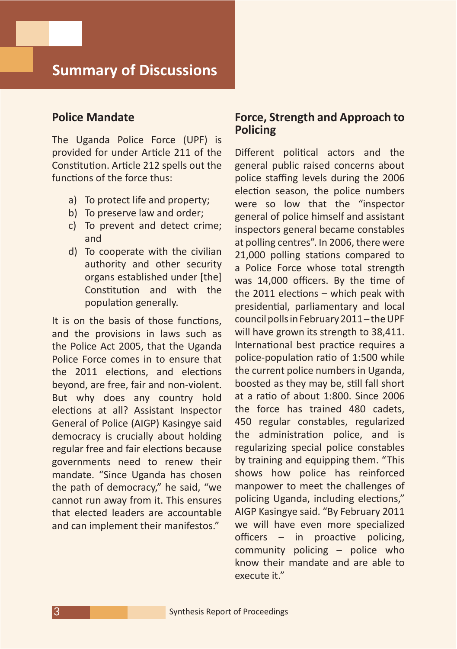#### **Police Mandate**

The Uganda Police Force (UPF) is provided for under Article 211 of the Constitution. Article 212 spells out the functions of the force thus:

- a) To protect life and property;
- b) To preserve law and order;
- c) To prevent and detect crime; and
- d) To cooperate with the civilian authority and other security organs established under [the] Constitution and with the population generally.

It is on the basis of those functions, and the provisions in laws such as the Police Act 2005, that the Uganda Police Force comes in to ensure that the 2011 elections, and elections beyond, are free, fair and non-violent. But why does any country hold elections at all? Assistant Inspector General of Police (AIGP) Kasingye said democracy is crucially about holding regular free and fair elections because governments need to renew their mandate. "Since Uganda has chosen the path of democracy," he said, "we cannot run away from it. This ensures that elected leaders are accountable and can implement their manifestos."

#### **Force, Strength and Approach to Policing**

Different political actors and the general public raised concerns about police staffing levels during the 2006 election season, the police numbers were so low that the "inspector general of police himself and assistant inspectors general became constables at polling centres". In 2006, there were 21,000 polling stations compared to a Police Force whose total strength was 14,000 officers. By the time of the 2011 elections – which peak with presidential, parliamentary and local council polls in February 2011-the UPF will have grown its strength to 38,411. International best practice requires a police-population ratio of 1:500 while the current police numbers in Uganda, boosted as they may be, still fall short at a ratio of about 1:800. Since 2006 the force has trained 480 cadets, 450 regular constables, regularized the administration police, and is regularizing special police constables by training and equipping them. "This shows how police has reinforced manpower to meet the challenges of policing Uganda, including elections," AIGP Kasingye said. "By February 2011 we will have even more specialized officers – in proactive policing, community policing – police who know their mandate and are able to execute it."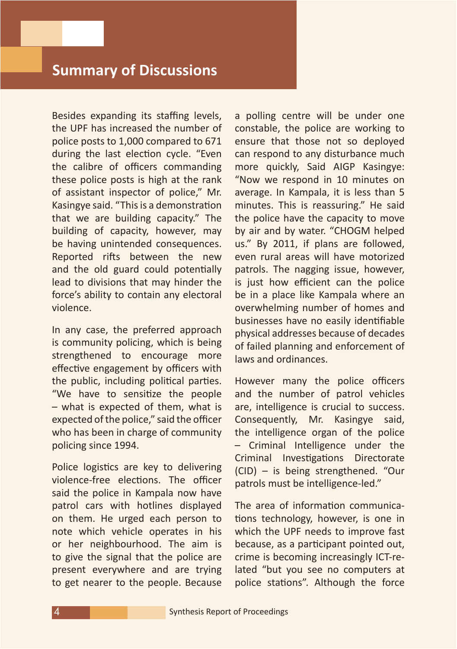Besides expanding its staffing levels, the UPF has increased the number of police posts to 1,000 compared to 671 during the last election cycle. "Even the calibre of officers commanding these police posts is high at the rank of assistant inspector of police," Mr. Kasingye said. "This is a demonstration that we are building capacity." The building of capacity, however, may be having unintended consequences. Reported rifts between the new and the old guard could potentially lead to divisions that may hinder the force's ability to contain any electoral violence.

In any case, the preferred approach is community policing, which is being strengthened to encourage more effective engagement by officers with the public, including political parties. "We have to sensitize the people – what is expected of them, what is expected of the police," said the officer who has been in charge of community policing since 1994.

Police logistics are key to delivering violence-free elections. The officer said the police in Kampala now have patrol cars with hotlines displayed on them. He urged each person to note which vehicle operates in his or her neighbourhood. The aim is to give the signal that the police are present everywhere and are trying to get nearer to the people. Because

a polling centre will be under one constable, the police are working to ensure that those not so deployed can respond to any disturbance much more quickly, Said AIGP Kasingye: "Now we respond in 10 minutes on average. In Kampala, it is less than 5 minutes. This is reassuring." He said the police have the capacity to move by air and by water. "CHOGM helped us." By 2011, if plans are followed, even rural areas will have motorized patrols. The nagging issue, however, is just how efficient can the police be in a place like Kampala where an overwhelming number of homes and businesses have no easily identifiable physical addresses because of decades of failed planning and enforcement of laws and ordinances.

However many the police officers and the number of patrol vehicles are, intelligence is crucial to success. Consequently, Mr. Kasingye said, the intelligence organ of the police – Criminal Intelligence under the Criminal Investigations Directorate (CID) – is being strengthened. "Our patrols must be intelligence-led."

The area of information communications technology, however, is one in which the UPF needs to improve fast because, as a participant pointed out, crime is becoming increasingly ICT-related "but you see no computers at police stations". Although the force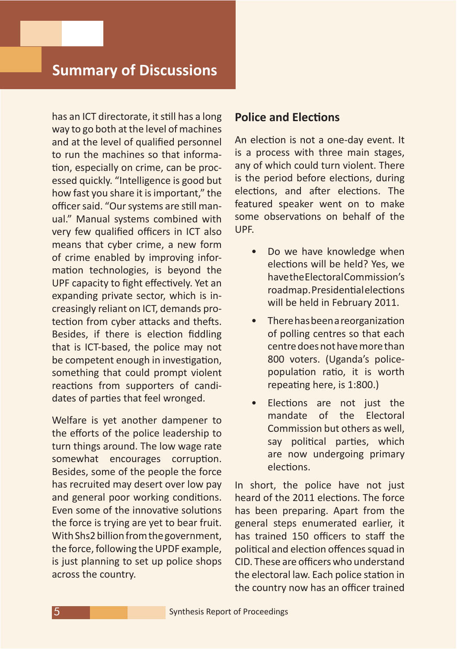has an ICT directorate, it still has a long way to go both at the level of machines and at the level of qualified personnel to run the machines so that information, especially on crime, can be processed quickly. "Intelligence is good but how fast you share it is important," the officer said. "Our systems are still manual." Manual systems combined with very few qualified officers in ICT also means that cyber crime, a new form of crime enabled by improving information technologies, is beyond the UPF capacity to fight effectively. Yet an expanding private sector, which is increasingly reliant on ICT, demands protection from cyber attacks and thefts. Besides, if there is election fiddling that is ICT-based, the police may not be competent enough in investigation, something that could prompt violent reactions from supporters of candidates of parties that feel wronged.

Welfare is yet another dampener to the efforts of the police leadership to turn things around. The low wage rate somewhat encourages corruption. Besides, some of the people the force has recruited may desert over low pay and general poor working conditions. Even some of the innovative solutions the force is trying are yet to bear fruit. With Shs2 billion from the government, the force, following the UPDF example, is just planning to set up police shops across the country.

#### **Police and Elections**

An election is not a one-day event. It is a process with three main stages, any of which could turn violent. There is the period before elections, during elections, and after elections. The featured speaker went on to make some observations on behalf of the UPF.

- Do we have knowledge when elections will be held? Yes, we have the Electoral Commission's roadmap.Presidentialelections will be held in February 2011.
- • Therehasbeenareorganization of polling centres so that each centre does not have more than 800 voters. (Uganda's policepopulation ratio, it is worth repeating here, is 1:800.)
- • Elections are not just the mandate of the Electoral Commission but others as well, say political parties, which are now undergoing primary elections.

In short, the police have not just heard of the 2011 elections. The force has been preparing. Apart from the general steps enumerated earlier, it has trained 150 officers to staff the political and election offences squad in CID. These are officers who understand the electoral law. Each police station in the country now has an officer trained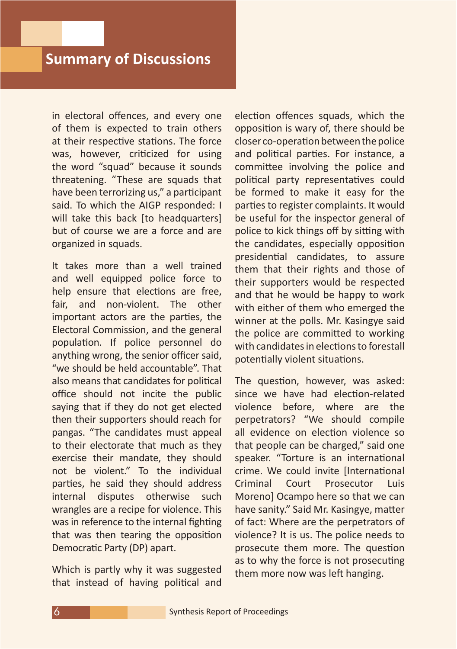in electoral offences, and every one of them is expected to train others at their respective stations. The force was, however, criticized for using the word "squad" because it sounds threatening. "These are squads that have been terrorizing us," a participant said. To which the AIGP responded: I will take this back [to headquarters] but of course we are a force and are organized in squads.

It takes more than a well trained and well equipped police force to help ensure that elections are free. fair, and non-violent. The other important actors are the parties, the Electoral Commission, and the general population. If police personnel do anything wrong, the senior officer said, "we should be held accountable". That also means that candidates for political office should not incite the public saying that if they do not get elected then their supporters should reach for pangas. "The candidates must appeal to their electorate that much as they exercise their mandate, they should not be violent." To the individual parties, he said they should address internal disputes otherwise such wrangles are a recipe for violence. This was in reference to the internal fighting that was then tearing the opposition Democratic Party (DP) apart.

Which is partly why it was suggested that instead of having political and election offences squads, which the opposition is wary of, there should be closer co-operation between the police and political parties. For instance, a committee involving the police and political party representatives could be formed to make it easy for the parties to register complaints. It would be useful for the inspector general of police to kick things off by sitting with the candidates, especially opposition presidential candidates, to assure them that their rights and those of their supporters would be respected and that he would be happy to work with either of them who emerged the winner at the polls. Mr. Kasingye said the police are committed to working with candidates in elections to forestall potentially violent situations.

The question, however, was asked: since we have had election-related violence before, where are the perpetrators? "We should compile all evidence on election violence so that people can be charged," said one speaker. "Torture is an international crime. We could invite [International Criminal Court Prosecutor Luis Moreno] Ocampo here so that we can have sanity." Said Mr. Kasingye, matter of fact: Where are the perpetrators of violence? It is us. The police needs to prosecute them more. The question as to why the force is not prosecuting them more now was left hanging.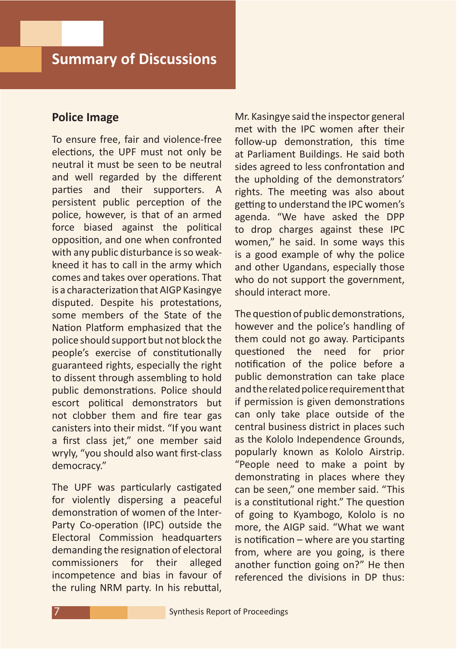#### **Police Image**

To ensure free, fair and violence-free elections, the UPF must not only be neutral it must be seen to be neutral and well regarded by the different parties and their supporters. A persistent public perception of the police, however, is that of an armed force biased against the political opposition, and one when confronted with any public disturbance is so weakkneed it has to call in the army which comes and takes over operations. That is a characterization that AIGP Kasingye disputed. Despite his protestations, some members of the State of the Nation Platform emphasized that the police should support but not block the people's exercise of constitutionally guaranteed rights, especially the right to dissent through assembling to hold public demonstrations. Police should escort political demonstrators but not clobber them and fire tear gas canisters into their midst. "If you want a first class jet," one member said wryly, "you should also want first-class democracy."

The UPF was particularly castigated for violently dispersing a peaceful demonstration of women of the Inter-Party Co-operation (IPC) outside the Electoral Commission headquarters demanding the resignation of electoral commissioners for their alleged incompetence and bias in favour of the ruling NRM party. In his rebuttal,

Mr. Kasingye said the inspector general met with the IPC women after their follow-up demonstration, this time at Parliament Buildings. He said both sides agreed to less confrontation and the upholding of the demonstrators' rights. The meeting was also about getting to understand the IPC women's agenda. "We have asked the DPP to drop charges against these IPC women," he said. In some ways this is a good example of why the police and other Ugandans, especially those who do not support the government, should interact more.

The question of public demonstrations, however and the police's handling of them could not go away. Participants questioned the need for prior notification of the police before a public demonstration can take place and the related police requirement that if permission is given demonstrations can only take place outside of the central business district in places such as the Kololo Independence Grounds, popularly known as Kololo Airstrip. "People need to make a point by demonstrating in places where they can be seen," one member said. "This is a constitutional right." The question of going to Kyambogo, Kololo is no more, the AIGP said. "What we want is notification – where are you starting from, where are you going, is there another function going on?" He then referenced the divisions in DP thus: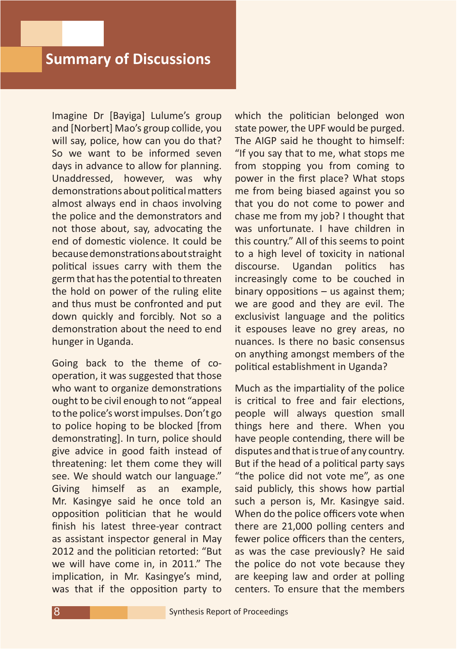Imagine Dr [Bayiga] Lulume's group and [Norbert] Mao's group collide, you will say, police, how can you do that? So we want to be informed seven days in advance to allow for planning. Unaddressed, however, was why demonstrations about political matters almost always end in chaos involving the police and the demonstrators and not those about, say, advocating the end of domestic violence. It could be becausedemonstrationsaboutstraight political issues carry with them the germ that has the potential to threaten the hold on power of the ruling elite and thus must be confronted and put down quickly and forcibly. Not so a demonstration about the need to end hunger in Uganda.

Going back to the theme of cooperation, it was suggested that those who want to organize demonstrations ought to be civil enough to not "appeal to the police's worst impulses. Don't go to police hoping to be blocked [from demonstrating]. In turn, police should give advice in good faith instead of threatening: let them come they will see. We should watch our language." Giving himself as an example, Mr. Kasingye said he once told an opposition politician that he would finish his latest three-year contract as assistant inspector general in May 2012 and the politician retorted: "But we will have come in, in 2011." The implication, in Mr. Kasingye's mind, was that if the opposition party to

which the politician belonged won state power, the UPF would be purged. The AIGP said he thought to himself: "If you say that to me, what stops me from stopping you from coming to power in the first place? What stops me from being biased against you so that you do not come to power and chase me from my job? I thought that was unfortunate. I have children in this country." All of this seems to point to a high level of toxicity in national discourse. Ugandan politics has increasingly come to be couched in binary oppositions  $-$  us against them; we are good and they are evil. The exclusivist language and the politics it espouses leave no grey areas, no nuances. Is there no basic consensus on anything amongst members of the political establishment in Uganda?

Much as the impartiality of the police is critical to free and fair elections, people will always question small things here and there. When you have people contending, there will be disputes and that is true of any country. But if the head of a political party says "the police did not vote me", as one said publicly, this shows how partial such a person is, Mr. Kasingye said. When do the police officers vote when there are 21,000 polling centers and fewer police officers than the centers, as was the case previously? He said the police do not vote because they are keeping law and order at polling centers. To ensure that the members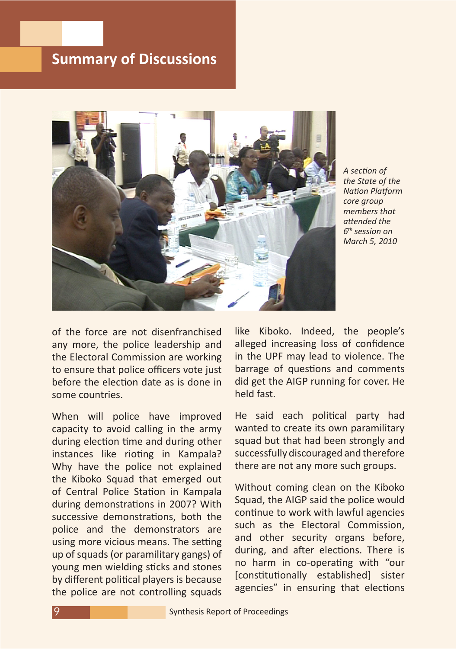

*A section of the State of the Nation Platform core group members that attended the 6th session on March 5, 2010*

of the force are not disenfranchised any more, the police leadership and the Electoral Commission are working to ensure that police officers vote just before the election date as is done in some countries.

When will police have improved capacity to avoid calling in the army during election time and during other instances like rioting in Kampala? Why have the police not explained the Kiboko Squad that emerged out of Central Police Station in Kampala during demonstrations in 2007? With successive demonstrations, both the police and the demonstrators are using more vicious means. The setting up of squads (or paramilitary gangs) of young men wielding sticks and stones by different political players is because the police are not controlling squads like Kiboko. Indeed, the people's alleged increasing loss of confidence in the UPF may lead to violence. The barrage of questions and comments did get the AIGP running for cover. He held fast.

He said each political party had wanted to create its own paramilitary squad but that had been strongly and successfully discouraged and therefore there are not any more such groups.

Without coming clean on the Kiboko Squad, the AIGP said the police would continue to work with lawful agencies such as the Electoral Commission, and other security organs before, during, and after elections. There is no harm in co-operating with "our [constitutionally established] sister agencies" in ensuring that elections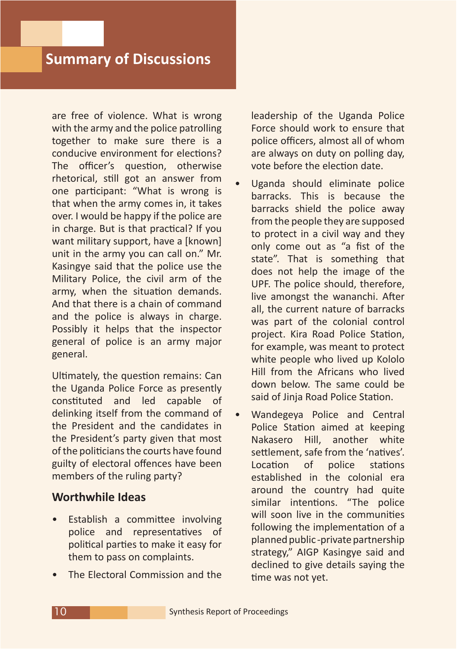are free of violence. What is wrong with the army and the police patrolling together to make sure there is a conducive environment for elections? The officer's question, otherwise rhetorical, still got an answer from one participant: "What is wrong is that when the army comes in, it takes over. I would be happy if the police are in charge. But is that practical? If you want military support, have a [known] unit in the army you can call on." Mr. Kasingye said that the police use the Military Police, the civil arm of the army, when the situation demands. And that there is a chain of command and the police is always in charge. Possibly it helps that the inspector general of police is an army major general.

Ultimately, the question remains: Can the Uganda Police Force as presently constituted and led capable of delinking itself from the command of the President and the candidates in the President's party given that most of the politicians the courts have found guilty of electoral offences have been members of the ruling party?

#### **Worthwhile Ideas**

- Establish a committee involving police and representatives of political parties to make it easy for them to pass on complaints.
- The Electoral Commission and the

leadership of the Uganda Police Force should work to ensure that police officers, almost all of whom are always on duty on polling day, vote before the election date.

- Uganda should eliminate police barracks. This is because the barracks shield the police away from the people they are supposed to protect in a civil way and they only come out as "a fist of the state". That is something that does not help the image of the UPF. The police should, therefore, live amongst the wananchi. After all, the current nature of barracks was part of the colonial control project. Kira Road Police Station, for example, was meant to protect white people who lived up Kololo Hill from the Africans who lived down below. The same could be said of Jinja Road Police Station.
- Wandegeya Police and Central Police Station aimed at keeping Nakasero Hill, another white settlement, safe from the 'natives'. Location of police stations established in the colonial era around the country had quite similar intentions. "The police will soon live in the communities following the implementation of a planned public -private partnership strategy," AIGP Kasingye said and declined to give details saying the time was not yet.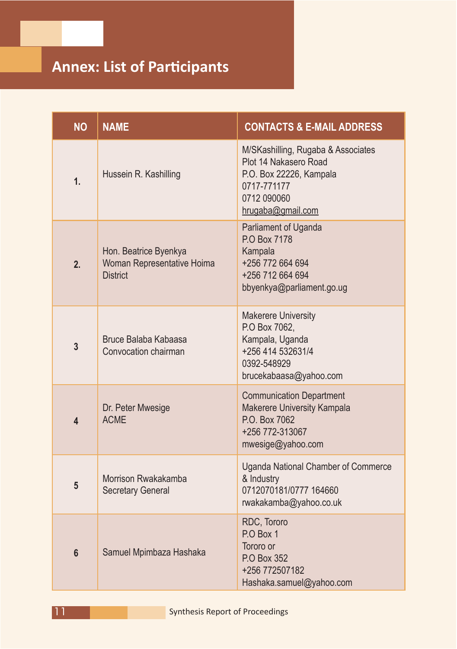## **Annex: List of Participants**

| <b>NO</b>      | <b>NAME</b>                                                            | <b>CONTACTS &amp; E-MAIL ADDRESS</b>                                                                                                      |
|----------------|------------------------------------------------------------------------|-------------------------------------------------------------------------------------------------------------------------------------------|
| 1.             | Hussein R. Kashilling                                                  | M/SKashilling, Rugaba & Associates<br>Plot 14 Nakasero Road<br>P.O. Box 22226, Kampala<br>0717-771177<br>0712 090060<br>hrugaba@gmail.com |
| 2.             | Hon. Beatrice Byenkya<br>Woman Representative Hoima<br><b>District</b> | Parliament of Uganda<br>P.O Box 7178<br>Kampala<br>+256 772 664 694<br>+256 712 664 694<br>bbyenkya@parliament.go.ug                      |
| $\overline{3}$ | Bruce Balaba Kabaasa<br>Convocation chairman                           | <b>Makerere University</b><br>P.O Box 7062,<br>Kampala, Uganda<br>+256 414 532631/4<br>0392-548929<br>brucekabaasa@yahoo.com              |
| 4              | Dr. Peter Mwesige<br><b>ACME</b>                                       | <b>Communication Department</b><br>Makerere University Kampala<br>P.O. Box 7062<br>+256 772-313067<br>mwesige@yahoo.com                   |
| 5              | Morrison Rwakakamba<br><b>Secretary General</b>                        | <b>Uganda National Chamber of Commerce</b><br>& Industry<br>0712070181/0777 164660<br>rwakakamba@yahoo.co.uk                              |
| $6\phantom{a}$ | Samuel Mpimbaza Hashaka                                                | RDC, Tororo<br>P.O Box 1<br>Tororo or<br>P.O Box 352<br>+256 772507182<br>Hashaka.samuel@yahoo.com                                        |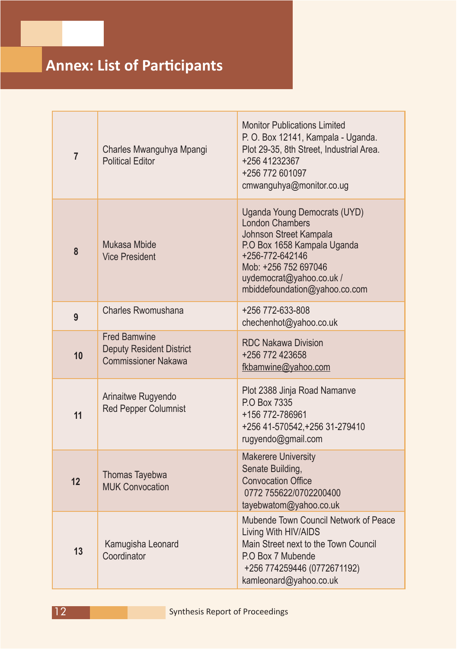| $\overline{7}$ | Charles Mwanguhya Mpangi<br><b>Political Editor</b>                                  | <b>Monitor Publications Limited</b><br>P. O. Box 12141, Kampala - Uganda.<br>Plot 29-35, 8th Street, Industrial Area.<br>+256 41232367<br>+256 772 601097<br>cmwanguhya@monitor.co.ug                                   |
|----------------|--------------------------------------------------------------------------------------|-------------------------------------------------------------------------------------------------------------------------------------------------------------------------------------------------------------------------|
| 8              | Mukasa Mbide<br><b>Vice President</b>                                                | Uganda Young Democrats (UYD)<br><b>London Chambers</b><br>Johnson Street Kampala<br>P.O Box 1658 Kampala Uganda<br>+256-772-642146<br>Mob: +256 752 697046<br>uydemocrat@yahoo.co.uk /<br>mbiddefoundation@yahoo.co.com |
| 9              | <b>Charles Rwomushana</b>                                                            | +256 772-633-808<br>chechenhot@yahoo.co.uk                                                                                                                                                                              |
| 10             | <b>Fred Bamwine</b><br><b>Deputy Resident District</b><br><b>Commissioner Nakawa</b> | <b>RDC Nakawa Division</b><br>+256 772 423658<br>fkbamwine@yahoo.com                                                                                                                                                    |
| 11             | Arinaitwe Rugyendo<br><b>Red Pepper Columnist</b>                                    | Plot 2388 Jinja Road Namanve<br>P.O Box 7335<br>+156 772-786961<br>+256 41-570542, +256 31-279410<br>rugyendo@gmail.com                                                                                                 |
| 12             | Thomas Tayebwa<br><b>MUK Convocation</b>                                             | <b>Makerere University</b><br>Senate Building,<br><b>Convocation Office</b><br>0772 755622/0702200400<br>tayebwatom@yahoo.co.uk                                                                                         |
| 13             | Kamugisha Leonard<br>Coordinator                                                     | Mubende Town Council Network of Peace<br>Living With HIV/AIDS<br>Main Street next to the Town Council<br>P.O Box 7 Mubende<br>+256 774259446 (0772671192)<br>kamleonard@yahoo.co.uk                                     |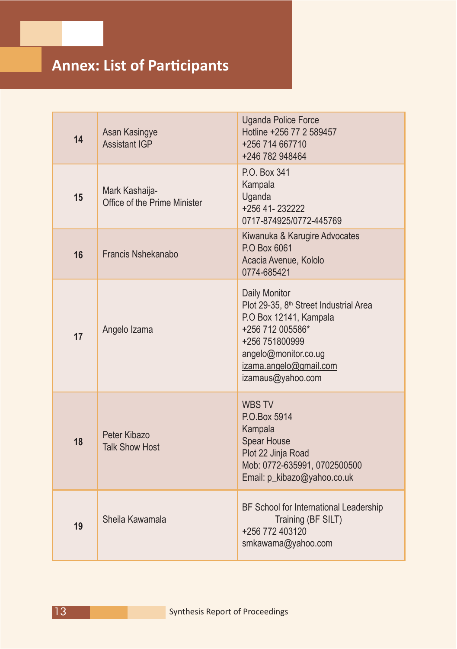| 14 | Asan Kasingye<br><b>Assistant IGP</b>          | <b>Uganda Police Force</b><br>Hotline +256 77 2 589457<br>+256 714 667710<br>+246 782 948464                                                                                                               |
|----|------------------------------------------------|------------------------------------------------------------------------------------------------------------------------------------------------------------------------------------------------------------|
| 15 | Mark Kashaija-<br>Office of the Prime Minister | P.O. Box 341<br>Kampala<br>Uganda<br>+256 41-232222<br>0717-874925/0772-445769                                                                                                                             |
| 16 | <b>Francis Nshekanabo</b>                      | Kiwanuka & Karugire Advocates<br>P.O Box 6061<br>Acacia Avenue, Kololo<br>0774-685421                                                                                                                      |
| 17 | Angelo Izama                                   | Daily Monitor<br>Plot 29-35, 8 <sup>th</sup> Street Industrial Area<br>P.O Box 12141, Kampala<br>+256 712 005586*<br>+256 751800999<br>angelo@monitor.co.ug<br>izama.angelo@gmail.com<br>izamaus@yahoo.com |
| 18 | Peter Kibazo<br><b>Talk Show Host</b>          | <b>WBS TV</b><br>P.O.Box 5914<br>Kampala<br><b>Spear House</b><br>Plot 22 Jinja Road<br>Mob: 0772-635991, 0702500500<br>Email: p_kibazo@yahoo.co.uk                                                        |
| 19 | Sheila Kawamala                                | BF School for International Leadership<br>Training (BF SILT)<br>+256 772 403120<br>smkawama@yahoo.com                                                                                                      |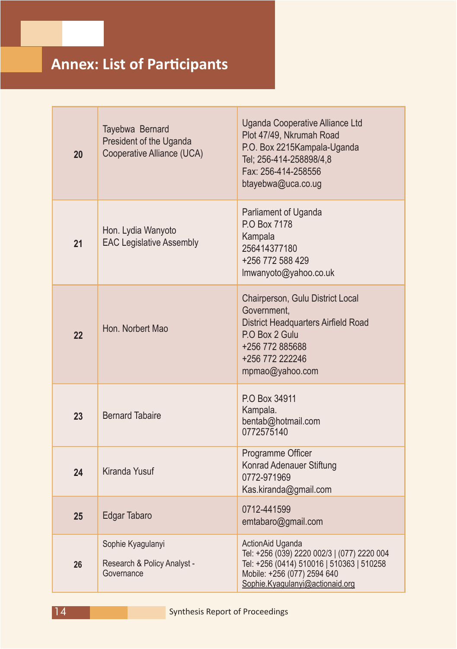## **Annex: List of Participants**

| 20 | Tayebwa Bernard<br>President of the Uganda<br>Cooperative Alliance (UCA) | Uganda Cooperative Alliance Ltd<br>Plot 47/49, Nkrumah Road<br>P.O. Box 2215Kampala-Uganda<br>Tel; 256-414-258898/4,8<br>Fax: 256-414-258556<br>btayebwa@uca.co.ug             |
|----|--------------------------------------------------------------------------|--------------------------------------------------------------------------------------------------------------------------------------------------------------------------------|
| 21 | Hon. Lydia Wanyoto<br><b>EAC Legislative Assembly</b>                    | Parliament of Uganda<br>P.O Box 7178<br>Kampala<br>256414377180<br>+256 772 588 429<br>Imwanyoto@yahoo.co.uk                                                                   |
| 22 | Hon. Norbert Mao                                                         | Chairperson, Gulu District Local<br>Government,<br><b>District Headquarters Airfield Road</b><br>P.O Box 2 Gulu<br>+256 772 885688<br>+256 772 222246<br>mpmao@yahoo.com       |
| 23 | <b>Bernard Tabaire</b>                                                   | P.O Box 34911<br>Kampala.<br>bentab@hotmail.com<br>0772575140                                                                                                                  |
| 24 | <b>Kiranda Yusuf</b>                                                     | Programme Officer<br>Konrad Adenauer Stiftung<br>0772-971969<br>Kas.kiranda@gmail.com                                                                                          |
| 25 | Edgar Tabaro                                                             | 0712-441599<br>emtabaro@gmail.com                                                                                                                                              |
| 26 | Sophie Kyagulanyi<br>Research & Policy Analyst -<br>Governance           | ActionAid Uganda<br>Tel: +256 (039) 2220 002/3   (077) 2220 004<br>Tel: +256 (0414) 510016   510363   510258<br>Mobile: +256 (077) 2594 640<br>Sophie.Kyagulanyi@actionaid.org |